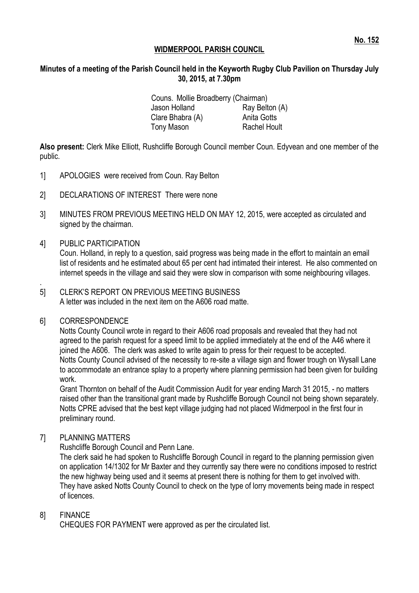# **WIDMERPOOL PARISH COUNCIL**

# **Minutes of a meeting of the Parish Council held in the Keyworth Rugby Club Pavilion on Thursday July 30, 2015, at 7.30pm**

Couns. Mollie Broadberry (Chairman) Jason Holland Ray Belton (A) Clare Bhabra (A) Anita Gotts Tony Mason Rachel Hoult

**Also present:** Clerk Mike Elliott, Rushcliffe Borough Council member Coun. Edyvean and one member of the public.

- 1] APOLOGIES were received from Coun. Ray Belton
- 2] DECLARATIONS OF INTEREST There were none
- 3] MINUTES FROM PREVIOUS MEETING HELD ON MAY 12, 2015, were accepted as circulated and signed by the chairman.
- 4] PUBLIC PARTICIPATION

Coun. Holland, in reply to a question, said progress was being made in the effort to maintain an email list of residents and he estimated about 65 per cent had intimated their interest. He also commented on internet speeds in the village and said they were slow in comparison with some neighbouring villages.

#### 5] CLERK'S REPORT ON PREVIOUS MEETING BUSINESS A letter was included in the next item on the A606 road matte.

# 6] CORRESPONDENCE

.

Notts County Council wrote in regard to their A606 road proposals and revealed that they had not agreed to the parish request for a speed limit to be applied immediately at the end of the A46 where it joined the A606. The clerk was asked to write again to press for their request to be accepted. Notts County Council advised of the necessity to re-site a village sign and flower trough on Wysall Lane to accommodate an entrance splay to a property where planning permission had been given for building work.

Grant Thornton on behalf of the Audit Commission Audit for year ending March 31 2015, - no matters raised other than the transitional grant made by Rushcliffe Borough Council not being shown separately. Notts CPRE advised that the best kept village judging had not placed Widmerpool in the first four in preliminary round.

### 7] PLANNING MATTERS

Rushcliffe Borough Council and Penn Lane.

The clerk said he had spoken to Rushcliffe Borough Council in regard to the planning permission given on application 14/1302 for Mr Baxter and they currently say there were no conditions imposed to restrict the new highway being used and it seems at present there is nothing for them to get involved with. They have asked Notts County Council to check on the type of lorry movements being made in respect of licences.

### 8] FINANCE

CHEQUES FOR PAYMENT were approved as per the circulated list.